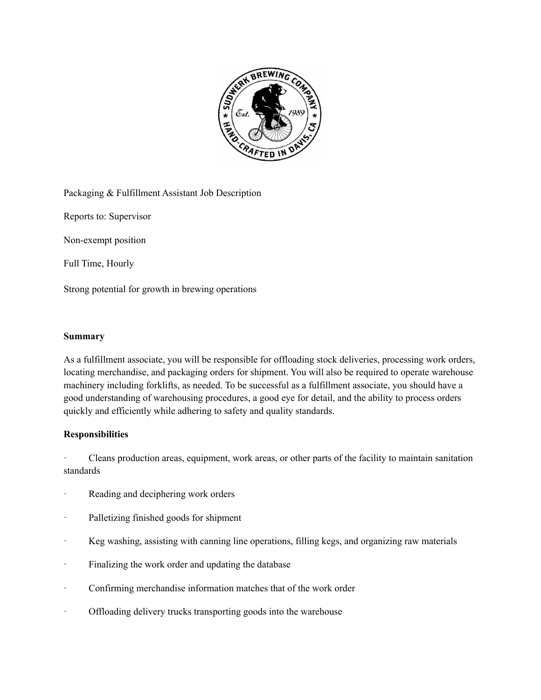

Packaging & Fulfillment Assistant Job Description

Reports to: Supervisor

Non-exempt position

Full Time, Hourly

Strong potential for growth in brewing operations

## **Summary**

As a fulfillment associate, you will be responsible for offloading stock deliveries, processing work orders, locating merchandise, and packaging orders for shipment. You will also be required to operate warehouse machinery including forklifts, as needed. To be successful as a fulfillment associate, you should have a good understanding of warehousing procedures, a good eye for detail, and the ability to process orders quickly and efficiently while adhering to safety and quality standards.

## **Responsibilities**

· Cleans production areas, equipment, work areas, or other parts of the facility to maintain sanitation standards

- · Reading and deciphering work orders
- Palletizing finished goods for shipment
- · Keg washing, assisting with canning line operations, filling kegs, and organizing raw materials
- · Finalizing the work order and updating the database
- · Confirming merchandise information matches that of the work order
- · Offloading delivery trucks transporting goods into the warehouse